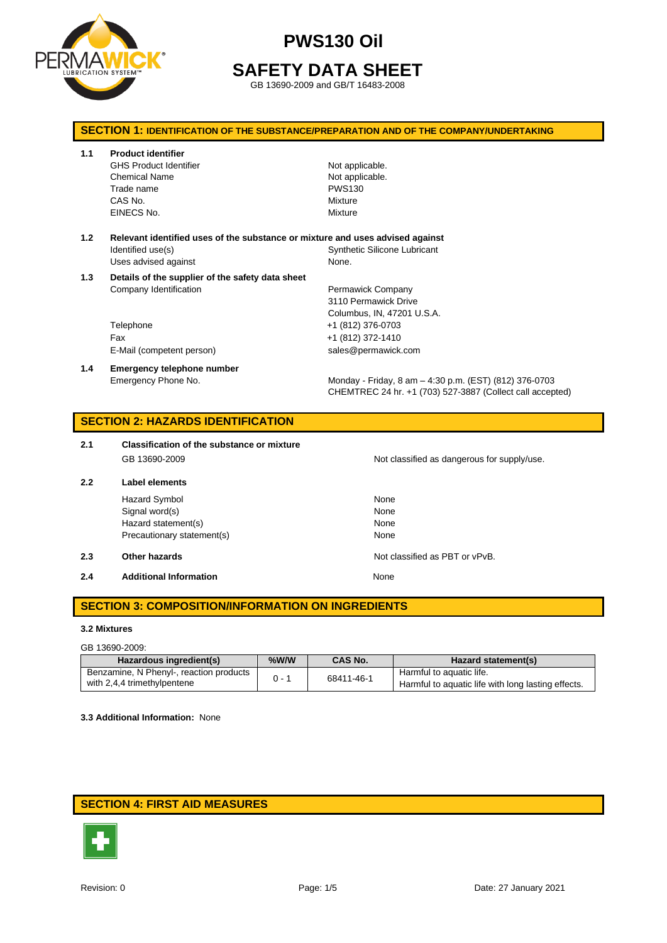

# **SAFETY DATA SHEET**

GB 13690-2009 and GB/T 16483-2008

## **SECTION 1: IDENTIFICATION OF THE SUBSTANCE/PREPARATION AND OF THE COMPANY/UNDERTAKING**

**1.1 Product identifier**

GHS Product Identifier Not applicable. Chemical Name **Not applicable**. Trade name PWS130 CAS No. 69 Mixture EINECS No. 2008 2009 2012 12:00:00 Mixture

- **1.2 Relevant identified uses of the substance or mixture and uses advised against** Identified use(s) The Contract of Synthetic Silicone Lubricant Uses advised against None.
- **1.3 Details of the supplier of the safety data sheet** Company Identification **Permawick Company**

Telephone +1 (812) 376-0703 Fax +1 (812) 372-1410 E-Mail (competent person) sales@permawick.com

**1.4 Emergency telephone number**

3110 Permawick Drive Columbus, IN, 47201 U.S.A.

Emergency Phone No. Monday - Friday, 8 am – 4:30 p.m. (EST) (812) 376-0703 CHEMTREC 24 hr. +1 (703) 527-3887 (Collect call accepted)

### **SECTION 2: HAZARDS IDENTIFICATION**

**2.1 Classification of the substance or mixture** GB 13690-2009 CB 13690-2009

**2.2 Label elements**

Hazard Symbol None Signal word(s) None Hazard statement(s) None Precautionary statement(s) None

#### **2.3 Other hazards Details According to the COVID-100 COVID-100 Not classified as PBT or vPvB.**

**2.4 Additional Information None** 

**SECTION 3: COMPOSITION/INFORMATION ON INGREDIENTS**

#### **3.2 Mixtures**

#### GB 13690-2009:

| Hazardous ingredient(s)                 | $%$ W/W | <b>CAS No.</b> | Hazard statement(s)                                |
|-----------------------------------------|---------|----------------|----------------------------------------------------|
| Benzamine, N Phenyl-, reaction products | $0 - 1$ | 68411-46-1     | Harmful to aquatic life.                           |
| with 2,4,4 trimethylpentene             |         |                | Harmful to aquatic life with long lasting effects. |

**3.3 Additional Information:** None

# **SECTION 4: FIRST AID MEASURES**

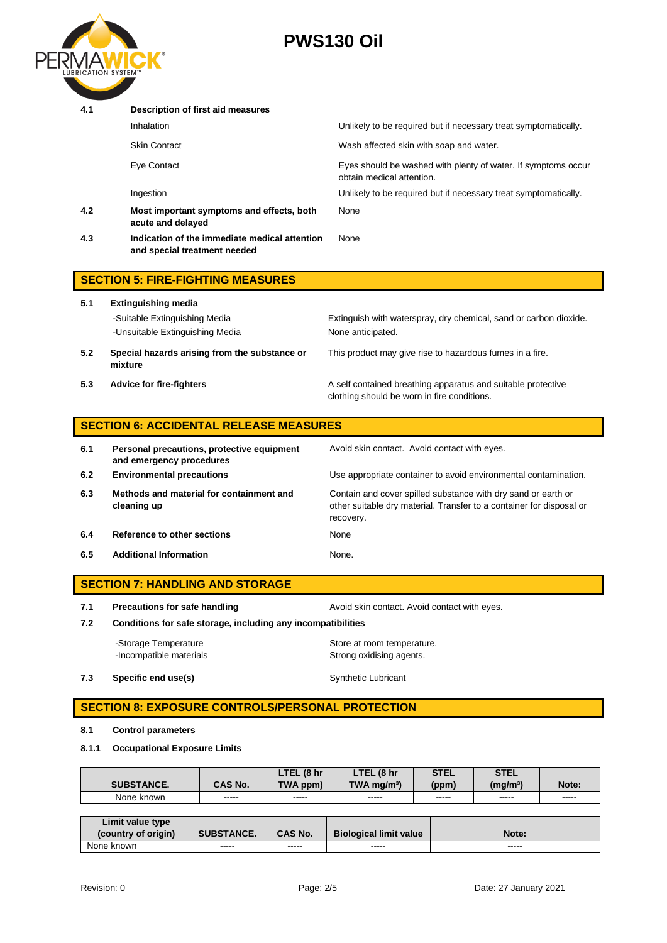

| 4.1 | Description of first aid measures                                             |                                                                                            |  |  |  |
|-----|-------------------------------------------------------------------------------|--------------------------------------------------------------------------------------------|--|--|--|
|     | Inhalation                                                                    | Unlikely to be required but if necessary treat symptomatically.                            |  |  |  |
|     | <b>Skin Contact</b>                                                           | Wash affected skin with soap and water.                                                    |  |  |  |
|     | Eye Contact                                                                   | Eyes should be washed with plenty of water. If symptoms occur<br>obtain medical attention. |  |  |  |
|     | Ingestion                                                                     | Unlikely to be required but if necessary treat symptomatically.                            |  |  |  |
| 4.2 | Most important symptoms and effects, both<br>acute and delayed                | None                                                                                       |  |  |  |
| 4.3 | Indication of the immediate medical attention<br>and special treatment needed | None                                                                                       |  |  |  |
|     | <b>SECTION 5: FIRE-FIGHTING MEASURES</b>                                      |                                                                                            |  |  |  |

| 5.1 | <b>Extinguishing media</b>                                       |                                                                                                             |
|-----|------------------------------------------------------------------|-------------------------------------------------------------------------------------------------------------|
|     | -Suitable Extinguishing Media<br>-Unsuitable Extinguishing Media | Extinguish with waterspray, dry chemical, sand or carbon dioxide.<br>None anticipated.                      |
| 5.2 | Special hazards arising from the substance or<br>mixture         | This product may give rise to hazardous fumes in a fire.                                                    |
| 5.3 | <b>Advice for fire-fighters</b>                                  | A self contained breathing apparatus and suitable protective<br>clothing should be worn in fire conditions. |

| <b>SECTION 6: ACCIDENTAL RELEASE MEASURES</b> |                                            |                               |  |  |  |
|-----------------------------------------------|--------------------------------------------|-------------------------------|--|--|--|
| -6.1                                          | Personal precautions, protective equipment | Avoid skin contact. Avoid con |  |  |  |

| 6.1 | Personal precautions, protective equipment<br>and emergency procedures | Avoid skin contact. Avoid contact with eyes.                                                                                                       |
|-----|------------------------------------------------------------------------|----------------------------------------------------------------------------------------------------------------------------------------------------|
| 6.2 | <b>Environmental precautions</b>                                       | Use appropriate container to avoid environmental contamination.                                                                                    |
| 6.3 | Methods and material for containment and<br>cleaning up                | Contain and cover spilled substance with dry sand or earth or<br>other suitable dry material. Transfer to a container for disposal or<br>recovery. |
| 6.4 | Reference to other sections                                            | None                                                                                                                                               |
| 6.5 | <b>Additional Information</b>                                          | None.                                                                                                                                              |

# **SECTION 7: HANDLING AND STORAGE**

**7.1 Precautions for safe handling Avoid skin contact. Avoid contact with eyes.** 

**7.2 Conditions for safe storage, including any incompatibilities**

-Storage Temperature **Store at room temperature.**<br>
-Incompatible materials<br>
Strong oxidising agents. Strong oxidising agents.

**7.3 Specific end use(s)** Synthetic Lubricant

# **SECTION 8: EXPOSURE CONTROLS/PERSONAL PROTECTION**

### **8.1 Control parameters**

#### **8.1.1 Occupational Exposure Limits**

|                   |                 | LTEL (8 hr     | . (8 hr<br>LTEL           | <b>STEL</b>     | <b>STEL</b>          |                 |
|-------------------|-----------------|----------------|---------------------------|-----------------|----------------------|-----------------|
| <b>SUBSTANCE.</b> | <b>CAS No.</b>  | TWA ppm)       | $TWA$ ma/m <sup>3</sup> ) | (ppm)           | (mq/m <sup>3</sup> ) | Note:           |
| None known        | -----<br>------ | -----<br>----- | -----<br>------           | -----<br>------ | -----<br>------      | -----<br>------ |

| Limit value type    |                   |                |                               |       |
|---------------------|-------------------|----------------|-------------------------------|-------|
| (country of origin) | <b>SUBSTANCE.</b> | <b>CAS No.</b> | <b>Biological limit value</b> | Note: |
| None known          | -----             | -----          | -----                         | ----- |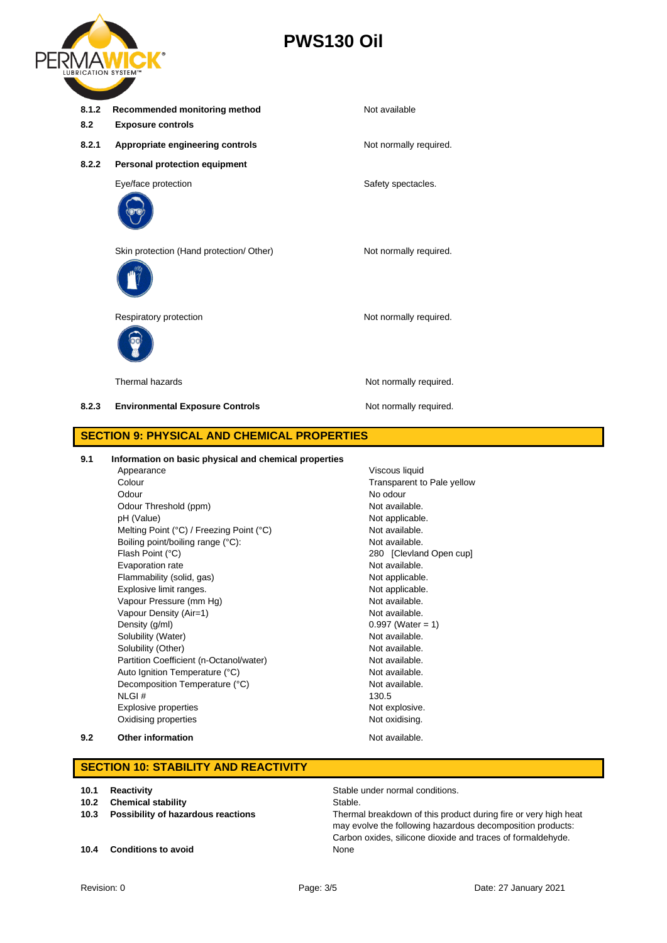

| 8.1.2<br>8.2 | Recommended monitoring method<br><b>Exposure controls</b> | Not available          |
|--------------|-----------------------------------------------------------|------------------------|
| 8.2.1        | Appropriate engineering controls                          | Not normally required. |
| 8.2.2        | Personal protection equipment                             |                        |
|              | Eye/face protection                                       | Safety spectacles.     |
|              | Skin protection (Hand protection/ Other)                  | Not normally required. |
|              | Respiratory protection                                    | Not normally required. |
|              | Thermal hazards                                           | Not normally required. |
| 8.2.3        | <b>Environmental Exposure Controls</b>                    | Not normally required. |
|              | <b>SECTION 9: PHYSICAL AND CHEMICAL PROPERTIES</b>        |                        |
|              |                                                           |                        |

#### **9.1 Information on basic physical and chemical properties**

|     | Appearance                               | Viscous liquid             |  |
|-----|------------------------------------------|----------------------------|--|
|     | Colour                                   | Transparent to Pale yellow |  |
|     | Odour                                    | No odour                   |  |
|     | Odour Threshold (ppm)                    | Not available.             |  |
|     | pH (Value)                               | Not applicable.            |  |
|     | Melting Point (°C) / Freezing Point (°C) | Not available.             |  |
|     | Boiling point/boiling range (°C):        | Not available.             |  |
|     | Flash Point (°C)                         | 280 [Clevland Open cup]    |  |
|     | Evaporation rate                         | Not available.             |  |
|     | Flammability (solid, gas)                | Not applicable.            |  |
|     | Explosive limit ranges.                  | Not applicable.            |  |
|     | Vapour Pressure (mm Hg)                  | Not available.             |  |
|     | Vapour Density (Air=1)                   | Not available.             |  |
|     | Density (q/ml)                           | $0.997$ (Water = 1)        |  |
|     | Solubility (Water)                       | Not available.             |  |
|     | Solubility (Other)                       | Not available.             |  |
|     | Partition Coefficient (n-Octanol/water)  | Not available.             |  |
|     | Auto Ignition Temperature (°C)           | Not available.             |  |
|     | Decomposition Temperature (°C)           | Not available.             |  |
|     | NLGI#                                    | 130.5                      |  |
|     | <b>Explosive properties</b>              | Not explosive.             |  |
|     | Oxidising properties                     | Not oxidising.             |  |
| 9.2 | <b>Other information</b>                 | Not available.             |  |

## **SECTION 10: STABILITY AND REACTIVITY**

- 
- **10.2** Chemical stability<br>Possibility of hazardous reactions
- **10.4 Conditions to avoid** None

**10.1 Reactivity 10.2 Chemical stability Stable under normal conditions.**<br>**10.2 Chemical stability Stable.** Stable.

10.3 **Possibility of hazardous reactions** Thermal breakdown of this product during fire or very high heat may evolve the following hazardous decomposition products: Carbon oxides, silicone dioxide and traces of formaldehyde.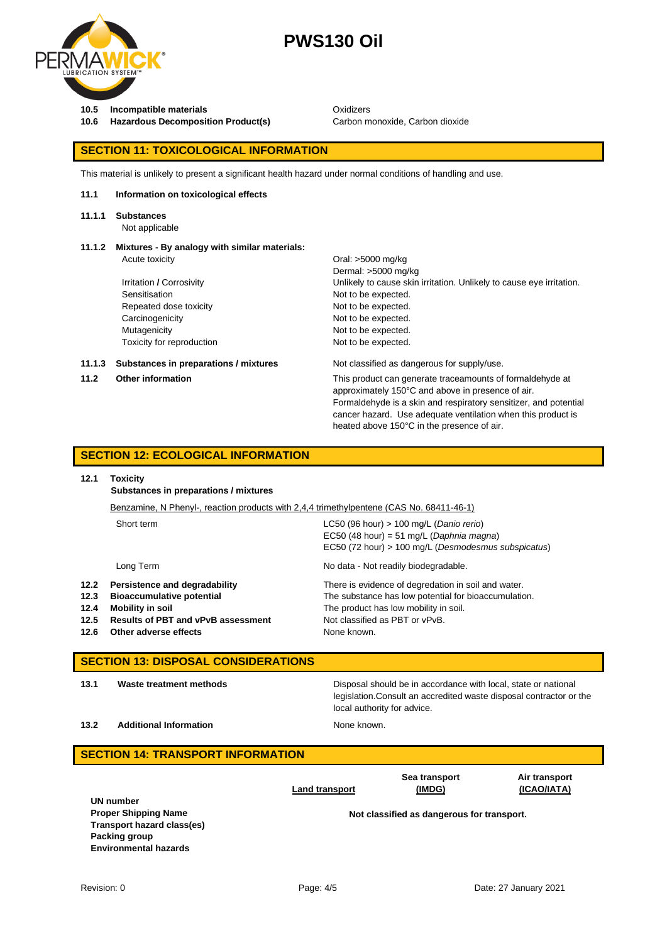

**10.5 Incompatible materials 10.6 Incompatible materials** Oxidizers<br>**10.6 Hazardous Decomposition Product(s)** Carbon m **10.6 10.6 10.6 10.6 10.6 10.6 10.6 Carbon monoxide, Carbon dioxide** 

heated above 150°C in the presence of air.

#### **SECTION 11: TOXICOLOGICAL INFORMATION**

This material is unlikely to present a significant health hazard under normal conditions of handling and use.

#### **11.1 Information on toxicological effects**

**11.1.1 Substances**

Not applicable

# **11.1.2 Mixtures - By analogy with similar materials:**

|        | Acute toxicity                        | Oral: >5000 mg/kg                                                                                                                                                                                                                                  |
|--------|---------------------------------------|----------------------------------------------------------------------------------------------------------------------------------------------------------------------------------------------------------------------------------------------------|
|        |                                       | Dermal: >5000 mg/kg                                                                                                                                                                                                                                |
|        | Irritation / Corrosivity              | Unlikely to cause skin irritation. Unlikely to cause eye irritation.                                                                                                                                                                               |
|        | Sensitisation                         | Not to be expected.                                                                                                                                                                                                                                |
|        | Repeated dose toxicity                | Not to be expected.                                                                                                                                                                                                                                |
|        | Carcinogenicity                       | Not to be expected.                                                                                                                                                                                                                                |
|        | Mutagenicity                          | Not to be expected.                                                                                                                                                                                                                                |
|        | Toxicity for reproduction             | Not to be expected.                                                                                                                                                                                                                                |
| 11.1.3 | Substances in preparations / mixtures | Not classified as dangerous for supply/use.                                                                                                                                                                                                        |
| 11.2   | <b>Other information</b>              | This product can generate traceamounts of formaldehyde at<br>approximately 150°C and above in presence of air.<br>Formaldehyde is a skin and respiratory sensitizer, and potential<br>cancer hazard. Use adequate ventilation when this product is |

## **SECTION 12: ECOLOGICAL INFORMATION**

#### **12.1 Toxicity**

**Substances in preparations / mixtures**

|      | Benzamine, N Phenyl-, reaction products with 2,4,4 trimethylpentene (CAS No. 68411-46-1) |                                                      |
|------|------------------------------------------------------------------------------------------|------------------------------------------------------|
|      | Short term                                                                               | LC50 (96 hour) $> 100$ mg/L (Danio rerio)            |
|      |                                                                                          | EC50 (48 hour) = 51 mg/L (Daphnia magna)             |
|      |                                                                                          | EC50 (72 hour) > 100 mg/L (Desmodesmus subspicatus)  |
|      | Long Term                                                                                | No data - Not readily biodegradable.                 |
| 12.2 | Persistence and degradability                                                            | There is evidence of degredation in soil and water.  |
| 12.3 | <b>Bioaccumulative potential</b>                                                         | The substance has low potential for bioaccumulation. |
| 12.4 | Mobility in soil                                                                         | The product has low mobility in soil.                |
| 12.5 | <b>Results of PBT and vPvB assessment</b>                                                | Not classified as PBT or vPvB.                       |
| 12.6 | Other adverse effects                                                                    | None known.                                          |

## **SECTION 13: DISPOSAL CONSIDERATIONS**

**13.1 Waste treatment methods** Disposal should be in accordance with local, state or national legislation.Consult an accredited waste disposal contractor or the local authority for advice.

**13.2 Additional Information None known.** 

| <b>SECTION 14: TRANSPORT INFORMATION</b>                                                                                |                       |                                            |                              |  |  |  |
|-------------------------------------------------------------------------------------------------------------------------|-----------------------|--------------------------------------------|------------------------------|--|--|--|
|                                                                                                                         | <b>Land transport</b> | Sea transport<br>(IMDG)                    | Air transport<br>(ICAO/IATA) |  |  |  |
| UN number<br><b>Proper Shipping Name</b><br>Transport hazard class(es)<br>Packing group<br><b>Environmental hazards</b> |                       | Not classified as dangerous for transport. |                              |  |  |  |